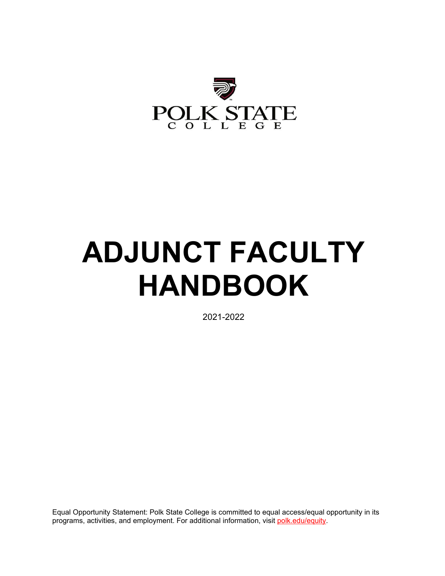

# **ADJUNCT FACULTY HANDBOOK**

2021-2022

Equal Opportunity Statement: Polk State College is committed to equal access/equal opportunity in its programs, activities, and employment. For additional information, visit [polk.edu/equity.](https://www.polk.edu/equity-diversity/)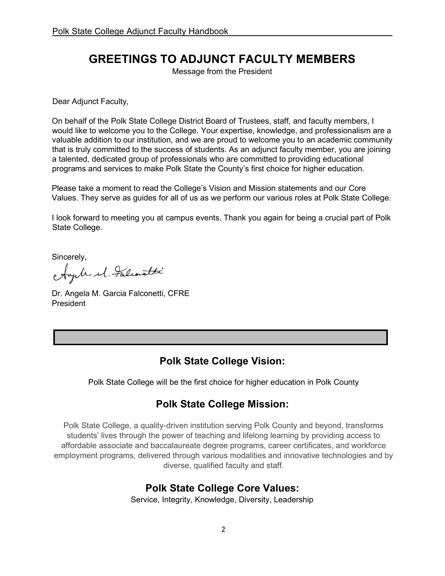# **GREETINGS TO ADJUNCT FACULTY MEMBERS**

Message from the President

Dear Adjunct Faculty,

On behalf of the Polk State College District Board of Trustees, staff, and faculty members, I would like to welcome you to the College. Your expertise, knowledge, and professionalism are a valuable addition to our institution, and we are proud to welcome you to an academic community that is truly committed to the success of students. As an adjunct faculty member, you are joining a talented, dedicated group of professionals who are committed to providing educational programs and services to make Polk State the County's first choice for higher education.

Please take a moment to read the College's Vision and Mission statements and our Core Values. They serve as guides for all of us as we perform our various roles at Polk State College.

I look forward to meeting you at campus events. Thank you again for being a crucial part of Polk State College.

Sincerely,

Ayale el Falconatti

Dr. Angela M. Garcia Falconetti, CFRE President

## **Polk State College Vision:**

Polk State College will be the first choice for higher education in Polk County

# **Polk State College Mission:**

Polk State College, a quality-driven institution serving Polk County and beyond, transforms students' lives through the power of teaching and lifelong learning by providing access to affordable associate and baccalaureate degree programs, career certificates, and workforce employment programs, delivered through various modalities and innovative technologies and by diverse, qualified faculty and staff.

## **Polk State College Core Values:**

Service, Integrity, Knowledge, Diversity, Leadership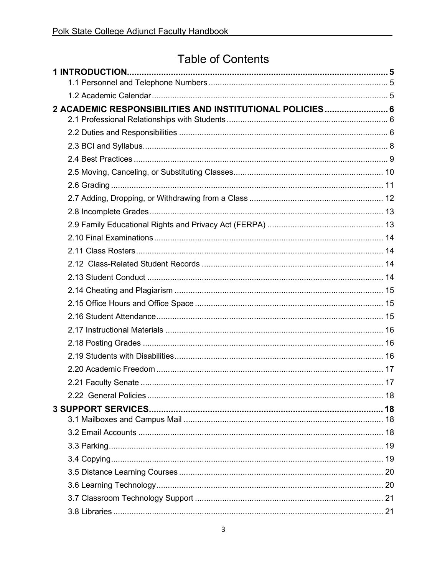# **Table of Contents**

| 2 ACADEMIC RESPONSIBILITIES AND INSTITUTIONAL POLICIES 6 |  |
|----------------------------------------------------------|--|
|                                                          |  |
|                                                          |  |
|                                                          |  |
|                                                          |  |
|                                                          |  |
|                                                          |  |
|                                                          |  |
|                                                          |  |
|                                                          |  |
|                                                          |  |
|                                                          |  |
|                                                          |  |
|                                                          |  |
|                                                          |  |
|                                                          |  |
|                                                          |  |
|                                                          |  |
|                                                          |  |
|                                                          |  |
|                                                          |  |
|                                                          |  |
|                                                          |  |
|                                                          |  |
|                                                          |  |
|                                                          |  |
|                                                          |  |
|                                                          |  |
|                                                          |  |
|                                                          |  |
|                                                          |  |
|                                                          |  |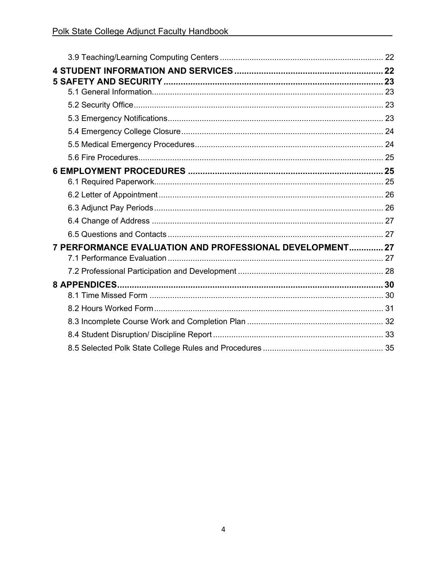| 7 PERFORMANCE EVALUATION AND PROFESSIONAL DEVELOPMENT 27 |  |
|----------------------------------------------------------|--|
|                                                          |  |
|                                                          |  |
|                                                          |  |
|                                                          |  |
|                                                          |  |
|                                                          |  |
|                                                          |  |
|                                                          |  |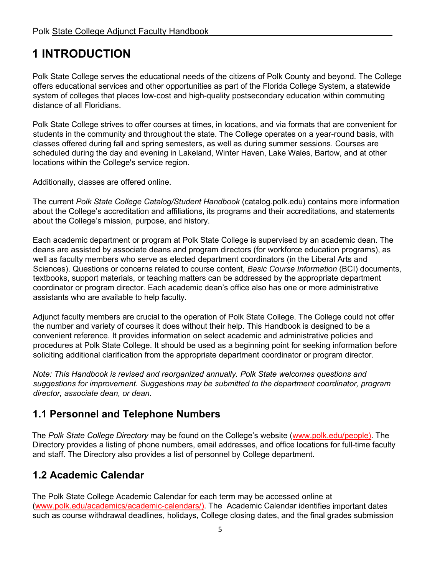# <span id="page-4-0"></span>**1 INTRODUCTION**

Polk State College serves the educational needs of the citizens of Polk County and beyond. The College offers educational services and other opportunities as part of the Florida College System, a statewide system of colleges that places low-cost and high-quality postsecondary education within commuting distance of all Floridians.

Polk State College strives to offer courses at times, in locations, and via formats that are convenient for students in the community and throughout the state. The College operates on a year-round basis, with classes offered during fall and spring semesters, as well as during summer sessions. Courses are scheduled during the day and evening in Lakeland, Winter Haven, Lake Wales, Bartow, and at other locations within the College's service region.

Additionally, classes are offered online.

The current *Polk State College Catalog/Student Handbook* (catalog.polk.edu) contains more information about the College's accreditation and affiliations, its programs and their accreditations, and statements about the College's mission, purpose, and history.

Each academic department or program at Polk State College is supervised by an academic dean. The deans are assisted by associate deans and program directors (for workforce education programs), as well as faculty members who serve as elected department coordinators (in the Liberal Arts and Sciences). Questions or concerns related to course content, *Basic Course Information* (BCI) documents, textbooks, support materials, or teaching matters can be addressed by the appropriate department coordinator or program director. Each academic dean's office also has one or more administrative assistants who are available to help faculty.

Adjunct faculty members are crucial to the operation of Polk State College. The College could not offer the number and variety of courses it does without their help. This Handbook is designed to be a convenient reference. It provides information on select academic and administrative policies and procedures at Polk State College. It should be used as a beginning point for seeking information before soliciting additional clarification from the appropriate department coordinator or program director.

*Note: This Handbook is revised and reorganized annually. Polk State welcomes questions and suggestions for improvement. Suggestions may be submitted to the department coordinator, program director, associate dean, or dean.*

## <span id="page-4-1"></span>**1.1 Personnel and Telephone Numbers**

The *Polk State College Directory* may be found on the College's website [\(www.polk.edu/people\). The](http://www.polk.edu/people)  [Directory](http://www.polk.edu/people) [prov](http://www.polk.edu/people)ides a listing of phone numbers, email addresses, and office locations for full-time faculty and staff. The Directory also provides a list of personnel by College department.

# <span id="page-4-2"></span>**1.2 Academic Calendar**

The Polk State College Academic Calendar for each term may be accessed online at [\(www.polk.edu/academics/academic-calendars/\). The](http://www.polk.edu/academics/academic-calendars/) [Academic Calendar identifie](http://www.polk.edu/academics/academic-calendars/)s important dates such as course withdrawal deadlines, holidays, College closing dates, and the final grades submission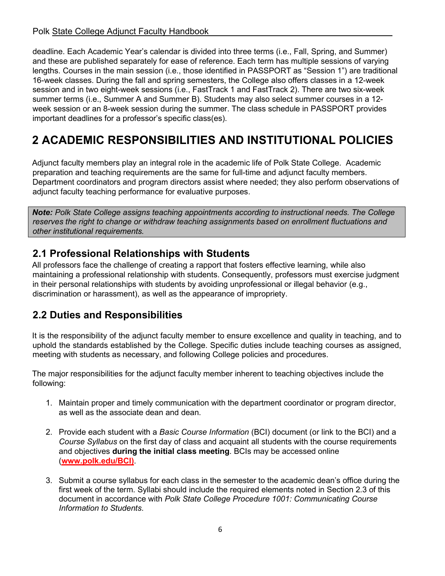deadline. Each Academic Year's calendar is divided into three terms (i.e., Fall, Spring, and Summer) and these are published separately for ease of reference. Each term has multiple sessions of varying lengths. Courses in the main session (i.e., those identified in PASSPORT as "Session 1") are traditional 16-week classes. During the fall and spring semesters, the College also offers classes in a 12-week session and in two eight-week sessions (i.e., FastTrack 1 and FastTrack 2). There are two six-week summer terms (i.e., Summer A and Summer B). Students may also select summer courses in a 12 week session or an 8-week session during the summer. The class schedule in PASSPORT provides important deadlines for a professor's specific class(es).

# <span id="page-5-0"></span>**2 ACADEMIC RESPONSIBILITIES AND INSTITUTIONAL POLICIES**

Adjunct faculty members play an integral role in the academic life of Polk State College. Academic preparation and teaching requirements are the same for full-time and adjunct faculty members. Department coordinators and program directors assist where needed; they also perform observations of adjunct faculty teaching performance for evaluative purposes.

*Note: Polk State College assigns teaching appointments according to instructional needs. The College reserves the right to change or withdraw teaching assignments based on enrollment fluctuations and other institutional requirements.*

# <span id="page-5-1"></span>**2.1 Professional Relationships with Students**

All professors face the challenge of creating a rapport that fosters effective learning, while also maintaining a professional relationship with students. Consequently, professors must exercise judgment in their personal relationships with students by avoiding unprofessional or illegal behavior (e.g., discrimination or harassment), as well as the appearance of impropriety.

# <span id="page-5-2"></span>**2.2 Duties and Responsibilities**

It is the responsibility of the adjunct faculty member to ensure excellence and quality in teaching, and to uphold the standards established by the College. Specific duties include teaching courses as assigned, meeting with students as necessary, and following College policies and procedures.

The major responsibilities for the adjunct faculty member inherent to teaching objectives include the following:

- 1. Maintain proper and timely communication with the department coordinator or program director, as well as the associate dean and dean.
- 2. Provide each student with a *Basic Course Information* (BCI) document (or link to the BCI) and a *Course Syllabus* on the first day of class and acquaint all students with the course requirements and objectives **during the initial class meeting**. BCIs may be accessed online (**[www.polk.edu/BCI\)](http://www.polk.edu/BCI)**[.](http://www.polk.edu/BCI)
- 3. [Submit a course syllabu](http://www.polk.edu/BCI)s for each class in the semester to the academic dean's office during the first week of the term. Syllabi should include the required elements noted in Section 2.3 of this document in accordance with *Polk State College Procedure 1001: Communicating Course Information to Students*.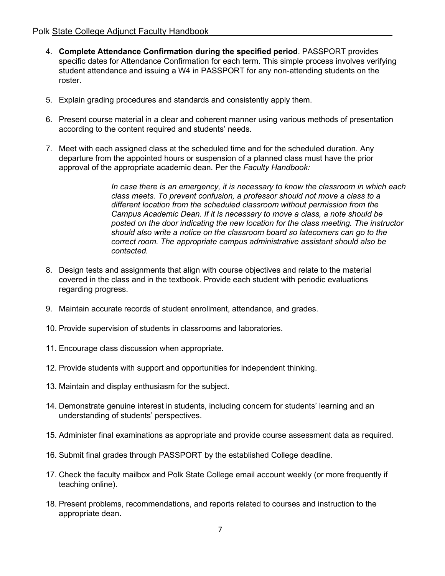- 4. **Complete Attendance Confirmation during the specified period**. PASSPORT provides specific dates for Attendance Confirmation for each term. This simple process involves verifying student attendance and issuing a W4 in PASSPORT for any non-attending students on the roster.
- 5. Explain grading procedures and standards and consistently apply them.
- 6. Present course material in a clear and coherent manner using various methods of presentation according to the content required and students' needs.
- 7. Meet with each assigned class at the scheduled time and for the scheduled duration. Any departure from the appointed hours or suspension of a planned class must have the prior approval of the appropriate academic dean. Per the *Faculty Handbook:*

*In case there is an emergency, it is necessary to know the classroom in which each class meets. To prevent confusion, a professor should not move a class to a different location from the scheduled classroom without permission from the Campus Academic Dean. If it is necessary to move a class, a note should be posted on the door indicating the new location for the class meeting. The instructor should also write a notice on the classroom board so latecomers can go to the correct room. The appropriate campus administrative assistant should also be contacted.*

- 8. Design tests and assignments that align with course objectives and relate to the material covered in the class and in the textbook. Provide each student with periodic evaluations regarding progress.
- 9. Maintain accurate records of student enrollment, attendance, and grades.
- 10. Provide supervision of students in classrooms and laboratories.
- 11. Encourage class discussion when appropriate.
- 12. Provide students with support and opportunities for independent thinking.
- 13. Maintain and display enthusiasm for the subject.
- 14. Demonstrate genuine interest in students, including concern for students' learning and an understanding of students' perspectives.
- 15. Administer final examinations as appropriate and provide course assessment data as required.
- 16. Submit final grades through PASSPORT by the established College deadline.
- 17. Check the faculty mailbox and Polk State College email account weekly (or more frequently if teaching online).
- 18. Present problems, recommendations, and reports related to courses and instruction to the appropriate dean.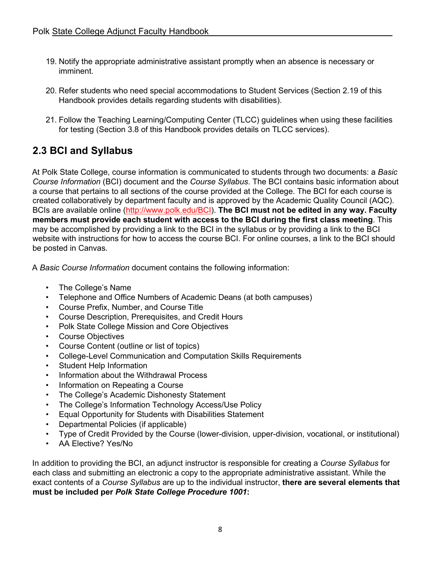- 19. Notify the appropriate administrative assistant promptly when an absence is necessary or imminent.
- 20. Refer students who need special accommodations to Student Services (Section 2.19 of this Handbook provides details regarding students with disabilities).
- 21. Follow the Teaching Learning/Computing Center (TLCC) guidelines when using these facilities for testing (Section 3.8 of this Handbook provides details on TLCC services).

# <span id="page-7-0"></span>**2.3 BCI and Syllabus**

At Polk State College, course information is communicated to students through two documents: a *Basic Course Information* (BCI) document and the *Course Syllabus*. The BCI contains basic information about a course that pertains to all sections of the course provided at the College. The BCI for each course is created collaboratively by department faculty and is approved by the Academic Quality Council (AQC). BCIs are available online [\(http://www.polk.edu/BC](http://www.polk.edu/BC)[I\).](http://www.polk.edu/bci) **[The](http://www.polk.edu/bci) BCI must [not be](http://www.polk.edu/bci) edited in any way. Faculty members must provide each student with access to the BCI during the first class meeting**. This may be accomplished by providing a link to the BCI in the syllabus or by providing a link to the BCI website with instructions for how to access the course BCI. For online courses, a link to the BCI should be posted in Canvas.

A *Basic Course Information* document contains the following information:

- The College's Name
- Telephone and Office Numbers of Academic Deans (at both campuses)
- Course Prefix, Number, and Course Title
- Course Description, Prerequisites, and Credit Hours
- Polk State College Mission and Core Objectives
- Course Objectives
- Course Content (outline or list of topics)
- College-Level Communication and Computation Skills Requirements
- Student Help Information
- Information about the Withdrawal Process
- Information on Repeating a Course
- The College's Academic Dishonesty Statement
- The College's Information Technology Access/Use Policy
- Equal Opportunity for Students with Disabilities Statement
- Departmental Policies (if applicable)
- Type of Credit Provided by the Course (lower-division, upper-division, vocational, or institutional)
- AA Elective? Yes/No

In addition to providing the BCI, an adjunct instructor is responsible for creating a *Course Syllabus* for each class and submitting an electronic a copy to the appropriate administrative assistant. While the exact contents of a *Course Syllabus* are up to the individual instructor, **there are several elements that must be included per** *Polk State College Procedure 1001***:**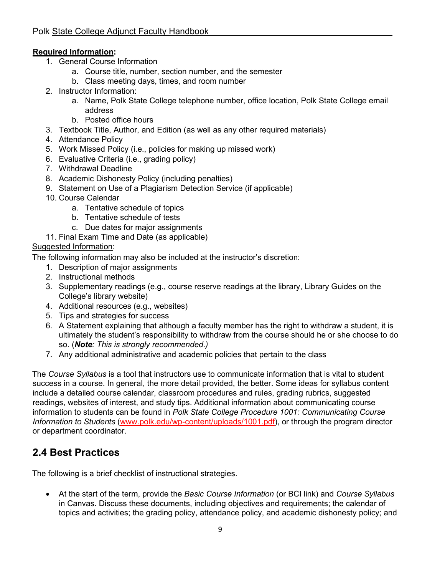#### **Required Information:**

- 1. General Course Information
	- a. Course title, number, section number, and the semester
	- b. Class meeting days, times, and room number
- 2. Instructor Information:
	- a. Name, Polk State College telephone number, office location, Polk State College email address
	- b. Posted office hours
- 3. Textbook Title, Author, and Edition (as well as any other required materials)
- 4. Attendance Policy
- 5. Work Missed Policy (i.e., policies for making up missed work)
- 6. Evaluative Criteria (i.e., grading policy)
- 7. Withdrawal Deadline
- 8. Academic Dishonesty Policy (including penalties)
- 9. Statement on Use of a Plagiarism Detection Service (if applicable)
- 10. Course Calendar
	- a. Tentative schedule of topics
	- b. Tentative schedule of tests
	- c. Due dates for major assignments
- 11. Final Exam Time and Date (as applicable)

#### Suggested Information:

The following information may also be included at the instructor's discretion:

- 1. Description of major assignments
- 2. Instructional methods
- 3. Supplementary readings (e.g., course reserve readings at the library, Library Guides on the College's library website)
- 4. Additional resources (e.g., websites)
- 5. Tips and strategies for success
- 6. A Statement explaining that although a faculty member has the right to withdraw a student, it is ultimately the student's responsibility to withdraw from the course should he or she choose to do so. (*Note: This is strongly recommended.)*
- 7. Any additional administrative and academic policies that pertain to the class

The *Course Syllabus* is a tool that instructors use to communicate information that is vital to student success in a course. In general, the more detail provided, the better. Some ideas for syllabus content include a detailed course calendar, classroom procedures and rules, grading rubrics, suggested readings, websites of interest, and study tips. Additional information about communicating course information to students can be found in *Polk State College Procedure 1001: Communicating Course Information to Students* [\(www.polk.edu/wp](http://www.polk.edu/wp)[-content/uploads/1001.pdf\)](https://www.polk.edu/wp-content/uploads/1001.pdf), or through the [program direc](https://www.polk.edu/wp-content/uploads/1001.pdf)tor or department coordinator.

# <span id="page-8-0"></span>**2.4 Best Practices**

The following is a brief checklist of instructional strategies.

• At the start of the term, provide the *Basic Course Information* (or BCI link) and *Course Syllabus* in Canvas. Discuss these documents, including objectives and requirements; the calendar of topics and activities; the grading policy, attendance policy, and academic dishonesty policy; and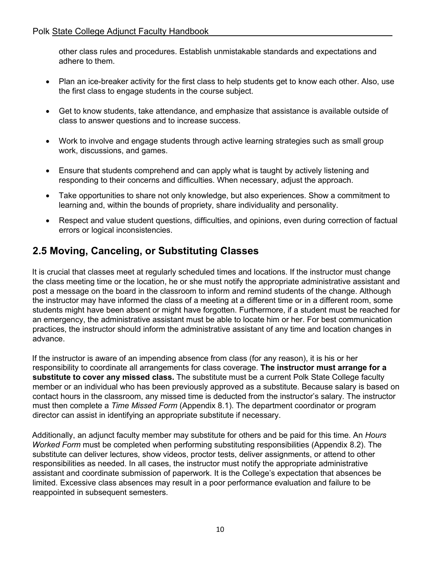other class rules and procedures. Establish unmistakable standards and expectations and adhere to them.

- Plan an ice-breaker activity for the first class to help students get to know each other. Also, use the first class to engage students in the course subject.
- Get to know students, take attendance, and emphasize that assistance is available outside of class to answer questions and to increase success.
- Work to involve and engage students through active learning strategies such as small group work, discussions, and games.
- Ensure that students comprehend and can apply what is taught by actively listening and responding to their concerns and difficulties. When necessary, adjust the approach.
- Take opportunities to share not only knowledge, but also experiences. Show a commitment to learning and, within the bounds of propriety, share individuality and personality.
- Respect and value student questions, difficulties, and opinions, even during correction of factual errors or logical inconsistencies.

# <span id="page-9-0"></span>**2.5 Moving, Canceling, or Substituting Classes**

It is crucial that classes meet at regularly scheduled times and locations. If the instructor must change the class meeting time or the location, he or she must notify the appropriate administrative assistant and post a message on the board in the classroom to inform and remind students of the change. Although the instructor may have informed the class of a meeting at a different time or in a different room, some students might have been absent or might have forgotten. Furthermore, if a student must be reached for an emergency, the administrative assistant must be able to locate him or her. For best communication practices, the instructor should inform the administrative assistant of any time and location changes in advance.

If the instructor is aware of an impending absence from class (for any reason), it is his or her responsibility to coordinate all arrangements for class coverage. **The instructor must arrange for a substitute to cover any missed class.** The substitute must be a current Polk State College faculty member or an individual who has been previously approved as a substitute. Because salary is based on contact hours in the classroom, any missed time is deducted from the instructor's salary. The instructor must then complete a *Time Missed Form* (Appendix 8.1). The department coordinator or program director can assist in identifying an appropriate substitute if necessary.

Additionally, an adjunct faculty member may substitute for others and be paid for this time. An *Hours Worked Form* must be completed when performing substituting responsibilities (Appendix 8.2). The substitute can deliver lectures, show videos, proctor tests, deliver assignments, or attend to other responsibilities as needed. In all cases, the instructor must notify the appropriate administrative assistant and coordinate submission of paperwork. It is the College's expectation that absences be limited. Excessive class absences may result in a poor performance evaluation and failure to be reappointed in subsequent semesters.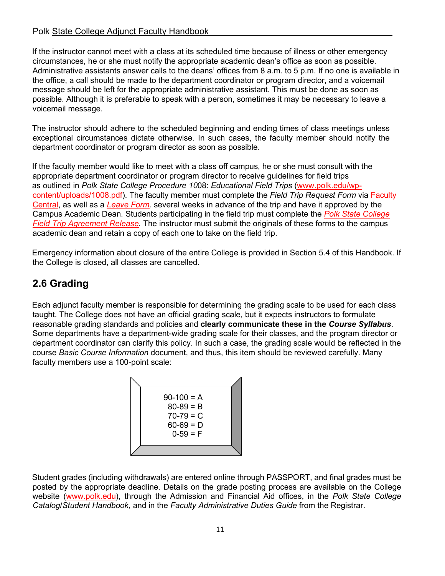#### Polk State College Adjunct Faculty Handbook

If the instructor cannot meet with a class at its scheduled time because of illness or other emergency circumstances, he or she must notify the appropriate academic dean's office as soon as possible. Administrative assistants answer calls to the deans' offices from 8 a.m. to 5 p.m. If no one is available in the office, a call should be made to the department coordinator or program director, and a voicemail message should be left for the appropriate administrative assistant. This must be done as soon as possible. Although it is preferable to speak with a person, sometimes it may be necessary to leave a voicemail message.

The instructor should adhere to the scheduled beginning and ending times of class meetings unless exceptional circumstances dictate otherwise. In such cases, the faculty member should notify the department coordinator or program director as soon as possible.

If the faculty member would like to meet with a class off campus, he or she must consult with the appropriate department coordinator or program director to receive guidelines for field trips as outlined in *Polk State College Procedure 10*08: *Educational Field Trips* [\(www.polk.edu/wp](https://www.polk.edu/wp-content/uploads/1008.pdf)[content/uploads/1008.pdf\).](https://www.polk.edu/wp-content/uploads/1008.pdf) [The faculty member](https://www.polk.edu/wp-content/uploads/1008.pdf) [must complete t](https://www.polk.edu/wp-content/uploads/1008.pdf)he *Field Trip Request Form* via [Faculty](https://canvas.polk.edu/courses/7209/pages/field-trips)  [Central,](https://canvas.polk.edu/courses/7209/pages/field-trips) as well as a *[Leave Form](https://polkadjunctcentral.files.wordpress.com/2014/06/travel-leave-request-3.pdf)*[.](https://polkadjunctcentral.files.wordpress.com/2014/06/travel-leave-request-3.pdf) several weeks [in advance](https://polkadjunctcentral.files.wordpress.com/2014/06/travel-leave-request-3.pdf) of the trip and have it approved by the Campus Academic Dean. Students participating in the field trip must complete the *[Polk State College](https://www.polk.edu/wp-content/uploads/1008-Attach2.pdf) [Field Trip Agreement Release.](https://www.polk.edu/wp-content/uploads/1008-Attach2.pdf)* [The instructor must submit the originals of th](https://www.polk.edu/wp-content/uploads/1008-Attach2.pdf)ese forms to the campus academic dean and retain a copy of each one to take on the field trip.

Emergency information about closure of the entire College is provided in Section 5.4 of this Handbook. If the College is closed, all classes are cancelled.

# <span id="page-10-0"></span>**2.6 Grading**

Each adjunct faculty member is responsible for determining the grading scale to be used for each class taught. The College does not have an official grading scale, but it expects instructors to formulate reasonable grading standards and policies and **clearly communicate these in the** *Course Syllabus*. Some departments have a department-wide grading scale for their classes, and the program director or department coordinator can clarify this policy. In such a case, the grading scale would be reflected in the course *Basic Course Information* document, and thus, this item should be reviewed carefully. Many faculty members use a 100-point scale:

| $80 - 89 = B$ |              |
|---------------|--------------|
| $70-79 = C$   |              |
| $60 - 69 = D$ |              |
| $0-59 = F$    |              |
|               |              |
|               | $90-100 = A$ |

Student grades (including withdrawals) are entered online through PASSPORT, and final grades must be posted by the appropriate deadline. Details on the grade posting process are available on the College website [\(www.polk.edu\), through the](http://www.polk.edu/) Admission and Financial Aid offices, in the *Polk State College Catalog*/*Student Handbook,* and in the *Faculty Administrative Duties Guide* from the Registrar.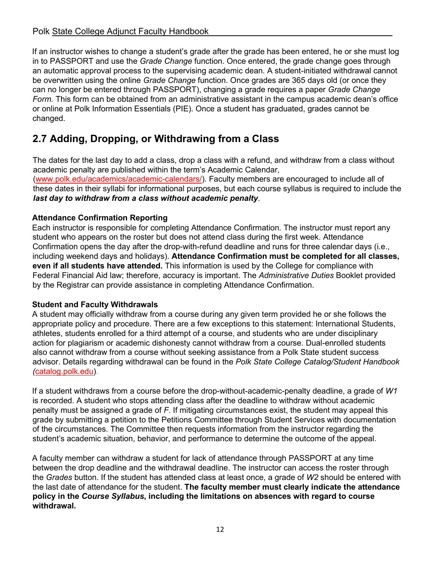#### Polk State College Adjunct Faculty Handbook

If an instructor wishes to change a student's grade after the grade has been entered, he or she must log in to PASSPORT and use the *Grade Change* function. Once entered, the grade change goes through an automatic approval process to the supervising academic dean. A student-initiated withdrawal cannot be overwritten using the online *Grade Change* function. Once grades are 365 days old (or once they can no longer be entered through PASSPORT), changing a grade requires a paper *Grade Change Form.* This form can be obtained from an administrative assistant in the campus academic dean's office or online at Polk Information Essentials (PIE). Once a student has graduated, grades cannot be changed.

# <span id="page-11-0"></span>**2.7 Adding, Dropping, or Withdrawing from a Class**

The dates for the last day to add a class, drop a class with a refund, and withdraw from a class without academic penalty are published within the term's Academic Calendar, [\(www.polk.edu/academics/academic](http://www.polk.edu/academics/academic)[-calendars/\).](http://www.polk.edu/academics/academic-calendars/) [Faculty members are encouraged to include](http://www.polk.edu/academics/academic-calendars/) all of these dates in their syllabi for informational purposes, but each course syllabus is required to include the *last day to withdraw from a class without academic penalty*.

#### **Attendance Confirmation Reporting**

Each instructor is responsible for completing Attendance Confirmation. The instructor must report any student who appears on the roster but does not attend class during the first week. Attendance Confirmation opens the day after the drop-with-refund deadline and runs for three calendar days (i.e., including weekend days and holidays). **Attendance Confirmation must be completed for all classes, even if all students have attended.** This information is used by the College for compliance with Federal Financial Aid law; therefore, accuracy is important. The *Administrative Duties* Booklet provided by the Registrar can provide assistance in completing Attendance Confirmation.

#### **Student and Faculty Withdrawals**

A student may officially withdraw from a course during any given term provided he or she follows the appropriate policy and procedure. There are a few exceptions to this statement: International Students, athletes, students enrolled for a third attempt of a course, and students who are under disciplinary action for plagiarism or academic dishonesty cannot withdraw from a course. Dual-enrolled students also cannot withdraw from a course without seeking assistance from a Polk State student success advisor. Details regarding withdrawal can be found in the *Polk State College Catalog/Student Handbook (*[catalog.polk.edu\).](http://catalog.polk.edu/) 

[If a student](http://catalog.polk.edu/) withdraws from a course before the drop-without-academic-penalty deadline, a grade of *W1* is recorded. A student who stops attending class after the deadline to withdraw without academic penalty must be assigned a grade of *F*. If mitigating circumstances exist, the student may appeal this grade by submitting a petition to the Petitions Committee through Student Services with documentation of the circumstances. The Committee then requests information from the instructor regarding the student's academic situation, behavior, and performance to determine the outcome of the appeal.

A faculty member can withdraw a student for lack of attendance through PASSPORT at any time between the drop deadline and the withdrawal deadline. The instructor can access the roster through the *Grades* button. If the student has attended class at least once, a grade of *W2* should be entered with the last date of attendance for the student. **The faculty member must clearly indicate the attendance policy in the** *Course Syllabus***, including the limitations on absences with regard to course withdrawal.**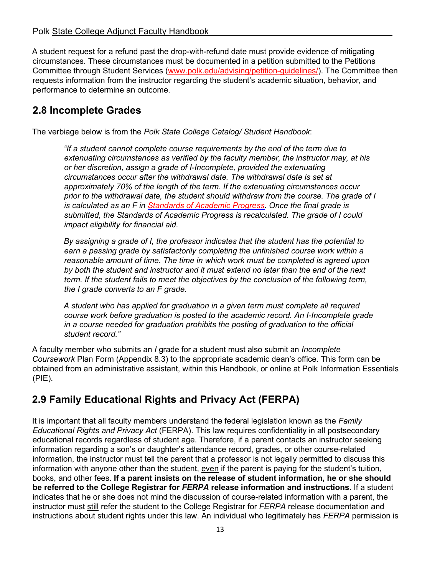A student request for a refund past the drop-with-refund date must provide evidence of mitigating circumstances. These circumstances must be documented in a petition submitted to the Petitions Committee through Student Services [\(www.polk.edu/advising/petition-guidelines/\).](http://www.polk.edu/advising/petition-guidelines/) The Committee then requests information from the instructor regarding the student's academic situation, behavior, and performance to determine an outcome.

# <span id="page-12-0"></span>**2.8 [Incomplete Grades](http://www.polk.edu/advising/petition-guidelines/)**

[The verbiage below is](http://www.polk.edu/advising/petition-guidelines/) from the *Polk State College Catalog/ Student Handbook*:

*"If a student cannot complete course requirements by the end of the term due to extenuating circumstances as verified by the faculty member, the instructor may, at his or her discretion, assign a grade of I-Incomplete, provided the extenuating circumstances occur after the withdrawal date. The withdrawal date is set at approximately 70% of the length of the term. If the extenuating circumstances occur prior to the withdrawal date, the student should withdraw from the course. The grade of I is calculated as an F in [Standards of Academic Progress. Once](http://catalog.polk.edu/content.php?catoid=40&navoid=2757) [the final grade is](http://catalog.polk.edu/content.php?catoid=40&navoid=2757)  [subm](http://catalog.polk.edu/content.php?catoid=40&navoid=2757)itted, the Standards of Academic Progress is recalculated. The grade of I could impact eligibility for financial aid.* 

*By assigning a grade of I, the professor indicates that the student has the potential to earn a passing grade by satisfactorily completing the unfinished course work within a reasonable amount of time. The time in which work must be completed is agreed upon by both the student and instructor and it must extend no later than the end of the next term. If the student fails to meet the objectives by the conclusion of the following term, the I grade converts to an F grade.* 

*A student who has applied for graduation in a given term must complete all required course work before graduation is posted to the academic record. An I-Incomplete grade in a course needed for graduation prohibits the posting of graduation to the official student record."*

A faculty member who submits an *I* grade for a student must also submit an *Incomplete Coursework* Plan Form (Appendix 8.3) to the appropriate academic dean's office. This form can be obtained from an administrative assistant, within this Handbook, or online at Polk Information Essentials (PIE).

# <span id="page-12-1"></span>**2.9 Family Educational Rights and Privacy Act (FERPA)**

It is important that all faculty members understand the federal legislation known as the *Family Educational Rights and Privacy Act* (FERPA). This law requires confidentiality in all postsecondary educational records regardless of student age. Therefore, if a parent contacts an instructor seeking information regarding a son's or daughter's attendance record, grades, or other course-related information, the instructor must tell the parent that a professor is not legally permitted to discuss this information with anyone other than the student, even if the parent is paying for the student's tuition, books, and other fees. **If a parent insists on the release of student information, he or she should be referred to the College Registrar for** *FERPA* **release information and instructions.** If a student indicates that he or she does not mind the discussion of course-related information with a parent, the instructor must still refer the student to the College Registrar for *FERPA* release documentation and instructions about student rights under this law. An individual who legitimately has *FERPA* permission is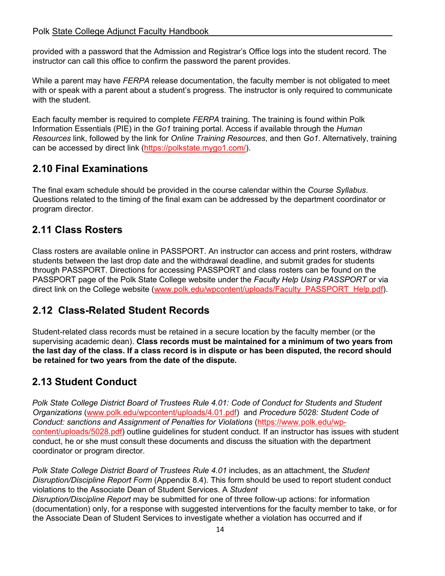#### Polk State College Adjunct Faculty Handbook

provided with a password that the Admission and Registrar's Office logs into the student record. The instructor can call this office to confirm the password the parent provides.

While a parent may have *FERPA* release documentation, the faculty member is not obligated to meet with or speak with a parent about a student's progress. The instructor is only required to communicate with the student.

Each faculty member is required to complete *FERPA* training. The training is found within Polk Information Essentials (PIE) in the *Go1* training portal. Access if available through the *Human Resources* link, followed by the link for *Online Training Resources*, and then *Go1*. Alternatively, training can be accessed by direct link (https://polkstate.mygo1.com/).

## <span id="page-13-0"></span>**2.10 Final Examinations**

The final exam schedule should be provided in the course calendar within the *Course Syllabus*. Questions related to the timing of the final exam can be addressed by the department coordinator or program director.

## <span id="page-13-1"></span>**2.11 Class Rosters**

Class rosters are available online in PASSPORT. An instructor can access and print rosters, withdraw students between the last drop date and the withdrawal deadline, and submit grades for students through PASSPORT. Directions for accessing PASSPORT and class rosters can be found on the PASSPORT page of the Polk State College website under the *Faculty Help Using PASSPORT* or via direct link on the College website [\(www.polk.edu/wpcontent/uploads/Faculty\\_PASSPORT\\_Help.pd](http://www.polk.edu/wpcontent/uploads/Faculty_PASSPORT_Help.pd)[f\).](http://www.polk.edu/wp-content/uploads/Faculty_PASSPORT_Help.pdf)

## <span id="page-13-2"></span>**2.1[2 Class-Related Student Records](http://www.polk.edu/wp-content/uploads/Faculty_PASSPORT_Help.pdf)**

Student-related [class records mu](http://www.polk.edu/wp-content/uploads/Faculty_PASSPORT_Help.pdf)st be retained in a secure location by the faculty member (or the supervising academic dean). **Class records must be maintained for a minimum of two years from the last day of the class. If a class record is in dispute or has been disputed, the record should be retained for two years from the date of the dispute.** 

# <span id="page-13-3"></span>**2.13 Student Conduct**

*Polk State College District Board of Trustees Rule 4.01: Code of Conduct for Students and Student Organizations* [\(www.polk.edu/wpcontent/uploads/4.01.pdf\) and](https://www.polk.edu/wp-content/uploads/4.01.pdf) *[Procedure 5028:](https://www.polk.edu/wp-content/uploads/4.01.pdf) Student Code of Conduct: sanctions and Assignment of Penalties for Violations* ([https://www.polk.](https://www.polk.edu/wp-content/uploads/4.01.pdf)[edu/wp](https://www.polk.edu/wp-content/uploads/5028.pdf)[content/uploads/5028.pdf\) outline guidelines for student conduct. If an i](https://www.polk.edu/wp-content/uploads/5028.pdf)nstructor has issues with student conduct, he or she must consult these documents and discuss the situation with the department coordinator or program director.

*Polk State College District Board of Trustees Rule 4.01* includes, as an attachment, the *Student Disruption/Discipline Report Form* (Appendix 8.4). This form should be used to report student conduct violations to the Associate Dean of Student Services. A *Student Disruption/Discipline Report* may be submitted for one of three follow-up actions: for information (documentation) only, for a response with suggested interventions for the faculty member to take, or for the Associate Dean of Student Services to investigate whether a violation has occurred and if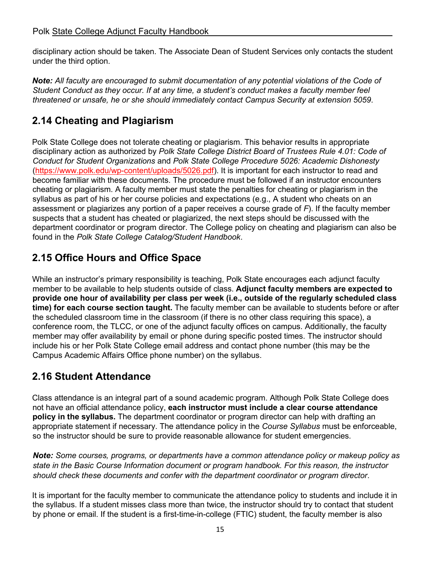disciplinary action should be taken. The Associate Dean of Student Services only contacts the student under the third option.

*Note: All faculty are encouraged to submit documentation of any potential violations of the Code of Student Conduct as they occur. If at any time, a student's conduct makes a faculty member feel threatened or unsafe, he or she should immediately contact Campus Security at extension 5059*.

# <span id="page-14-0"></span>**2.14 Cheating and Plagiarism**

Polk State College does not tolerate cheating or plagiarism. This behavior results in appropriate disciplinary action as authorized by *Polk State College District Board of Trustees Rule 4.01: Code of Conduct for Student Organizations* and *Polk State College Procedure 5026: Academic Dishonesty* [\(https://www.polk.edu/wp-content/uploads/5026.pdf\). It is](https://www.polk.edu/wp-content/uploads/5026.pdf) [important for each](https://www.polk.edu/wp-content/uploads/5026.pdf) instructor to read and become familiar with these documents. The procedure must be followed if an instructor encounters cheating or plagiarism. A faculty member must state the penalties for cheating or plagiarism in the syllabus as part of his or her course policies and expectations (e.g., A student who cheats on an assessment or plagiarizes any portion of a paper receives a course grade of *F*). If the faculty member suspects that a student has cheated or plagiarized, the next steps should be discussed with the department coordinator or program director. The College policy on cheating and plagiarism can also be found in the *Polk State College Catalog/Student Handbook*.

# <span id="page-14-1"></span>**2.15 Office Hours and Office Space**

While an instructor's primary responsibility is teaching, Polk State encourages each adjunct faculty member to be available to help students outside of class. **Adjunct faculty members are expected to provide one hour of availability per class per week (i.e., outside of the regularly scheduled class time) for each course section taught.** The faculty member can be available to students before or after the scheduled classroom time in the classroom (if there is no other class requiring this space), a conference room, the TLCC, or one of the adjunct faculty offices on campus. Additionally, the faculty member may offer availability by email or phone during specific posted times. The instructor should include his or her Polk State College email address and contact phone number (this may be the Campus Academic Affairs Office phone number) on the syllabus.

# <span id="page-14-2"></span>**2.16 Student Attendance**

Class attendance is an integral part of a sound academic program. Although Polk State College does not have an official attendance policy, **each instructor must include a clear course attendance policy in the syllabus.** The department coordinator or program director can help with drafting an appropriate statement if necessary. The attendance policy in the *Course Syllabus* must be enforceable, so the instructor should be sure to provide reasonable allowance for student emergencies.

*Note: Some courses, programs, or departments have a common attendance policy or makeup policy as state in the Basic Course Information document or program handbook. For this reason, the instructor should check these documents and confer with the department coordinator or program director*.

It is important for the faculty member to communicate the attendance policy to students and include it in the syllabus. If a student misses class more than twice, the instructor should try to contact that student by phone or email. If the student is a first-time-in-college (FTIC) student, the faculty member is also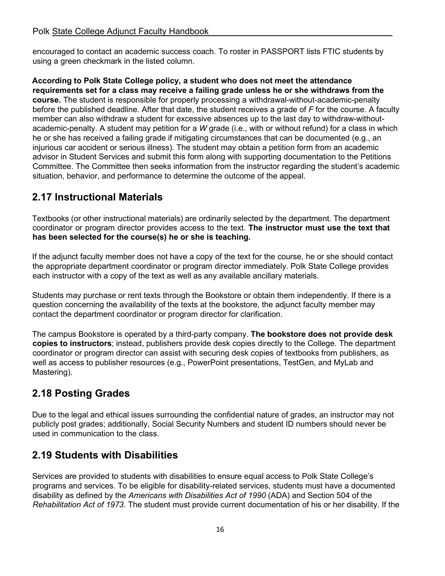encouraged to contact an academic success coach. To roster in PASSPORT lists FTIC students by using a green checkmark in the listed column.

**According to Polk State College policy, a student who does not meet the attendance requirements set for a class may receive a failing grade unless he or she withdraws from the course.** The student is responsible for properly processing a withdrawal-without-academic-penalty before the published deadline. After that date, the student receives a grade of *F* for the course. A faculty member can also withdraw a student for excessive absences up to the last day to withdraw-withoutacademic-penalty. A student may petition for a *W* grade (i.e., with or without refund) for a class in which he or she has received a failing grade if mitigating circumstances that can be documented (e.g., an injurious car accident or serious illness). The student may obtain a petition form from an academic advisor in Student Services and submit this form along with supporting documentation to the Petitions Committee. The Committee then seeks information from the instructor regarding the student's academic situation, behavior, and performance to determine the outcome of the appeal.

# <span id="page-15-0"></span>**2.17 Instructional Materials**

Textbooks (or other instructional materials) are ordinarily selected by the department. The department coordinator or program director provides access to the text. **The instructor must use the text that has been selected for the course(s) he or she is teaching.** 

If the adjunct faculty member does not have a copy of the text for the course, he or she should contact the appropriate department coordinator or program director immediately. Polk State College provides each instructor with a copy of the text as well as any available ancillary materials.

Students may purchase or rent texts through the Bookstore or obtain them independently. If there is a question concerning the availability of the texts at the bookstore, the adjunct faculty member may contact the department coordinator or program director for clarification.

The campus Bookstore is operated by a third-party company. **The bookstore does not provide desk copies to instructors**; instead, publishers provide desk copies directly to the College. The department coordinator or program director can assist with securing desk copies of textbooks from publishers, as well as access to publisher resources (e.g., PowerPoint presentations, TestGen, and MyLab and Mastering).

# <span id="page-15-1"></span>**2.18 Posting Grades**

Due to the legal and ethical issues surrounding the confidential nature of grades, an instructor may not publicly post grades; additionally, Social Security Numbers and student ID numbers should never be used in communication to the class.

# <span id="page-15-2"></span>**2.19 Students with Disabilities**

Services are provided to students with disabilities to ensure equal access to Polk State College's programs and services. To be eligible for disability-related services, students must have a documented disability as defined by the *Americans with Disabilities Act of 1990* (ADA) and Section 504 of the *Rehabilitation Act of 1973*. The student must provide current documentation of his or her disability. If the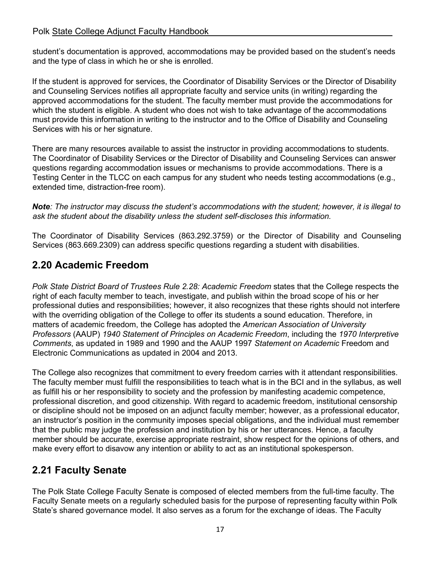#### Polk State College Adjunct Faculty Handbook

student's documentation is approved, accommodations may be provided based on the student's needs and the type of class in which he or she is enrolled.

If the student is approved for services, the Coordinator of Disability Services or the Director of Disability and Counseling Services notifies all appropriate faculty and service units (in writing) regarding the approved accommodations for the student. The faculty member must provide the accommodations for which the student is eligible. A student who does not wish to take advantage of the accommodations must provide this information in writing to the instructor and to the Office of Disability and Counseling Services with his or her signature.

There are many resources available to assist the instructor in providing accommodations to students. The Coordinator of Disability Services or the Director of Disability and Counseling Services can answer questions regarding accommodation issues or mechanisms to provide accommodations. There is a Testing Center in the TLCC on each campus for any student who needs testing accommodations (e.g., extended time, distraction-free room).

*Note: The instructor may discuss the student's accommodations with the student; however, it is illegal to ask the student about the disability unless the student self-discloses this information.* 

The Coordinator of Disability Services (863.292.3759) or the Director of Disability and Counseling Services (863.669.2309) can address specific questions regarding a student with disabilities.

## <span id="page-16-0"></span>**2.20 Academic Freedom**

*Polk State District Board of Trustees Rule 2.28: Academic Freedom* states that the College respects the right of each faculty member to teach, investigate, and publish within the broad scope of his or her professional duties and responsibilities; however, it also recognizes that these rights should not interfere with the overriding obligation of the College to offer its students a sound education. Therefore, in matters of academic freedom, the College has adopted the *American Association of University Professors* (AAUP) *1940 Statement of Principles on Academic Freedom*, including the *1970 Interpretive Comments*, as updated in 1989 and 1990 and the AAUP 1997 *Statement on Academic* Freedom and Electronic Communications as updated in 2004 and 2013.

The College also recognizes that commitment to every freedom carries with it attendant responsibilities. The faculty member must fulfill the responsibilities to teach what is in the BCI and in the syllabus, as well as fulfill his or her responsibility to society and the profession by manifesting academic competence, professional discretion, and good citizenship. With regard to academic freedom, institutional censorship or discipline should not be imposed on an adjunct faculty member; however, as a professional educator, an instructor's position in the community imposes special obligations, and the individual must remember that the public may judge the profession and institution by his or her utterances. Hence, a faculty member should be accurate, exercise appropriate restraint, show respect for the opinions of others, and make every effort to disavow any intention or ability to act as an institutional spokesperson.

## <span id="page-16-1"></span>**2.21 Faculty Senate**

The Polk State College Faculty Senate is composed of elected members from the full-time faculty. The Faculty Senate meets on a regularly scheduled basis for the purpose of representing faculty within Polk State's shared governance model. It also serves as a forum for the exchange of ideas. The Faculty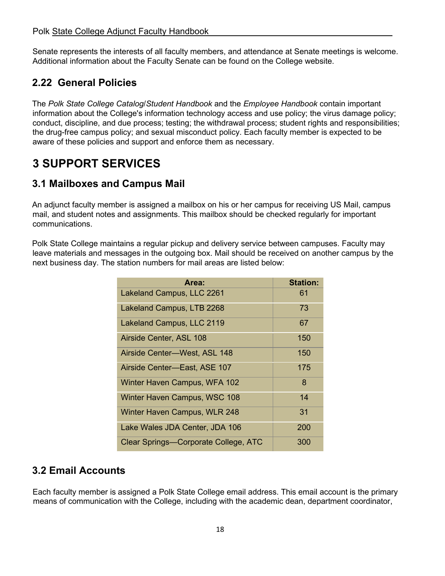Senate represents the interests of all faculty members, and attendance at Senate meetings is welcome. Additional information about the Faculty Senate can be found on the College website.

# <span id="page-17-0"></span>**2.2[2 General Policies](http://www.polk.edu/faculty-senate/)**

[The](http://www.polk.edu/faculty-senate/) *[Polk](http://www.polk.edu/faculty-senate/) State College Catalog*/*Student Handbook* and the *Employee Handbook* contain important information about the College's information technology access and use policy; the virus damage policy; conduct, discipline, and due process; testing; the withdrawal process; student rights and responsibilities; the drug-free campus policy; and sexual misconduct policy. Each faculty member is expected to be aware of these policies and support and enforce them as necessary.

# <span id="page-17-1"></span>**3 SUPPORT SERVICES**

# <span id="page-17-2"></span>**3.1 Mailboxes and Campus Mail**

An adjunct faculty member is assigned a mailbox on his or her campus for receiving US Mail, campus mail, and student notes and assignments. This mailbox should be checked regularly for important communications.

Polk State College maintains a regular pickup and delivery service between campuses. Faculty may leave materials and messages in the outgoing box. Mail should be received on another campus by the next business day. The station numbers for mail areas are listed below:

| Area:                                       | <b>Station:</b> |
|---------------------------------------------|-----------------|
| Lakeland Campus, LLC 2261                   | 61              |
| Lakeland Campus, LTB 2268                   | 73              |
| Lakeland Campus, LLC 2119                   | 67              |
| Airside Center, ASL 108                     | 150             |
| Airside Center-West, ASL 148                | 150             |
| Airside Center-East, ASE 107                | 175             |
| Winter Haven Campus, WFA 102                | 8               |
| Winter Haven Campus, WSC 108                | 14              |
| Winter Haven Campus, WLR 248                | 31              |
| Lake Wales JDA Center, JDA 106              | 200             |
| <b>Clear Springs-Corporate College, ATC</b> | 300             |

# <span id="page-17-3"></span>**3.2 Email Accounts**

Each faculty member is assigned a Polk State College email address. This email account is the primary means of communication with the College, including with the academic dean, department coordinator,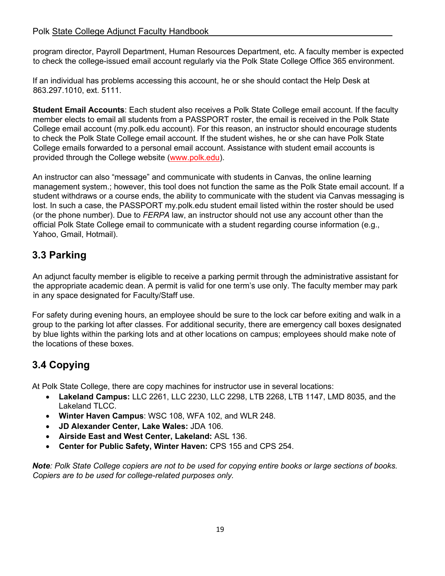#### Polk State College Adjunct Faculty Handbook

program director, Payroll Department, Human Resources Department, etc. A faculty member is expected to check the college-issued email account regularly via the Polk State College Office 365 environment.

If an individual has problems accessing this account, he or she should contact the Help Desk at 863.297.1010, ext. 5111.

**Student Email Accounts**: Each student also receives a Polk State College email account. If the faculty member elects to email all students from a PASSPORT roster, the email is received in the Polk State College email account (my.polk.edu account). For this reason, an instructor should encourage students to check the Polk State College email account. If the student wishes, he or she can have Polk State College emails forwarded to a personal email account. Assistance with student email accounts is provided through the College website [\(www.polk.ed](http://www.polk.ed/)[u\).](http://www.polk.edu/) 

An [instructor](http://www.polk.edu/) can also "message" and communicate with students in Canvas, the online learning management system.; however, this tool does not function the same as the Polk State email account. If a student withdraws or a course ends, the ability to communicate with the student via Canvas messaging is lost. In such a case, the PASSPORT my.polk.edu student email listed within the roster should be used (or the phone number). Due to *FERPA* law, an instructor should not use any account other than the official Polk State College email to communicate with a student regarding course information (e.g., Yahoo, Gmail, Hotmail).

# <span id="page-18-0"></span>**3.3 Parking**

An adjunct faculty member is eligible to receive a parking permit through the administrative assistant for the appropriate academic dean. A permit is valid for one term's use only. The faculty member may park in any space designated for Faculty/Staff use.

For safety during evening hours, an employee should be sure to the lock car before exiting and walk in a group to the parking lot after classes. For additional security, there are emergency call boxes designated by blue lights within the parking lots and at other locations on campus; employees should make note of the locations of these boxes.

# <span id="page-18-1"></span>**3.4 Copying**

At Polk State College, there are copy machines for instructor use in several locations:

- **Lakeland Campus:** LLC 2261, LLC 2230, LLC 2298, LTB 2268, LTB 1147, LMD 8035, and the Lakeland TLCC.
- **Winter Haven Campus**: WSC 108, WFA 102, and WLR 248.
- **JD Alexander Center, Lake Wales:** JDA 106.
- **Airside East and West Center, Lakeland:** ASL 136.
- **Center for Public Safety, Winter Haven:** CPS 155 and CPS 254.

*Note: Polk State College copiers are not to be used for copying entire books or large sections of books. Copiers are to be used for college-related purposes only.*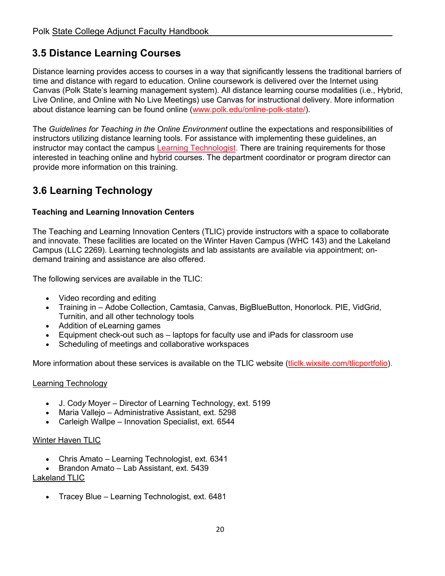# <span id="page-19-0"></span>**3.5 Distance Learning Courses**

Distance learning provides access to courses in a way that significantly lessens the traditional barriers of time and distance with regard to education. Online coursework is delivered over the Internet using Canvas (Polk State's learning management system). All distance learning course modalities (i.e., Hybrid, Live Online, and Online with No Live Meetings) use Canvas for instructional delivery. More information about distance learning can be found online [\(www.polk.edu/online-polk-state/\).](https://www.polk.edu/online-polk-state/)

The *Guidelines for Teaching in the Online Environment* outline the expectations and responsibilities of instructors utilizing distance learning tools. For assistance with implementing these guidelines, an instructor may contact the campus Learning [Technologist.](https://www.polk.edu/technology-services/instructional-technology/) There are training requirements for those interested in teaching online and hybrid courses. The department coordinator or program director can provide more information on this training.

# <span id="page-19-1"></span>**3.6 Learning [Technology](https://www.polk.edu/technology-services/instructional-technology/teaching-online/)**

#### **[Teaching](https://www.polk.edu/technology-services/instructional-technology/teaching-online/) and Learning Innovation Centers**

The Teaching and Learning Innovation Centers (TLIC) provide instructors with a space to collaborate and innovate. These facilities are located on the Winter Haven Campus (WHC 143) and the Lakeland Campus (LLC 2269). Learning technologists and lab assistants are available via appointment; ondemand training and assistance are also offered.

The following services are available in the TLIC:

- Video recording and editing
- Training in Adobe Collection, Camtasia, Canvas, BigBlueButton, Honorlock. PIE, VidGrid, Turnitin, and all other technology tools
- Addition of eLearning games
- Equipment check-out such as laptops for faculty use and iPads for classroom use
- Scheduling of meetings and collaborative workspaces

More information about these services is available on the TLIC website [\(tliclk.wixsite.com/tlicportfolio\).](https://tliclk.wixsite.com/tlicportfolio)

#### Learning Technology

- J. Cod*y* Moyer Director of Learning Technology, ext. 5199
- Maria Vallejo Administrative Assistant, ext. 5298
- Carleigh Wallpe Innovation Specialist, ext. 6544

#### **Winter Haven TLIC**

- Chris Amato Learning Technologist, ext. 6341
- Brandon Amato Lab Assistant, ext. 5439

#### Lakeland TLIC

• Tracey Blue – Learning Technologist, ext. 6481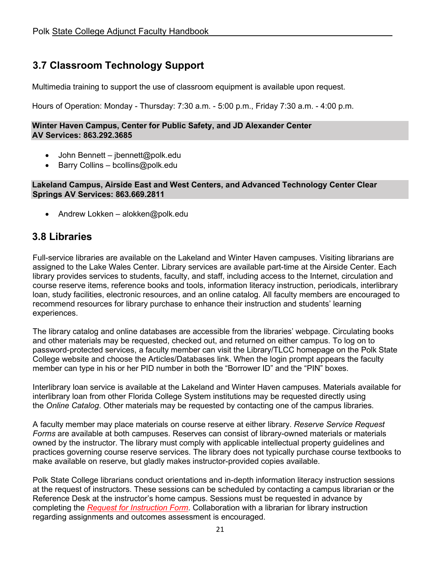# <span id="page-20-0"></span>**3.7 Classroom Technology Support**

Multimedia training to support the use of classroom equipment is available upon request.

Hours of Operation: Monday - Thursday: 7:30 a.m. - 5:00 p.m., Friday 7:30 a.m. - 4:00 p.m.

#### **Winter Haven Campus, Center for Public Safety, and JD Alexander Center AV Services: 863.292.3685**

- John Bennett jbennett@polk.edu
- Barry Collins bcollins@polk.edu

#### **Lakeland Campus, Airside East and West Centers, and Advanced Technology Center Clear Springs AV Services: 863.669.2811**

• Andrew Lokken – alokken@polk.edu

## <span id="page-20-1"></span>**3.8 Libraries**

Full-service libraries are available on the Lakeland and Winter Haven campuses. Visiting librarians are assigned to the Lake Wales Center. Library services are available part-time at the Airside Center. Each library provides services to students, faculty, and staff, including access to the Internet, circulation and course reserve items, reference books and tools, information literacy instruction, periodicals, interlibrary loan, study facilities, electronic resources, and an online catalog. All faculty members are encouraged to recommend resources for library purchase to enhance their instruction and students' learning experiences.

The library catalog and online databases are accessible from the libraries' webpage. Circulating books and other materials may be requested, checked out, and returned on either campus. To log on to password-protected services, a faculty member can visit the Library/TLCC homepage on the Polk State College website and choose the Articles/Databases link. When the login prompt appears the faculty member can type in his or her PID number in both the "Borrower ID" and the "PIN" boxes.

Interlibrary loan service is available at the Lakeland and Winter Haven campuses. Materials available for interlibrary loan from other Florida College System institutions may be requested directly using the *Online Catalog*. Other materials may be requested by contacting one of the campus libraries.

A faculty member may place materials on course reserve at either library. *Reserve Service Request Forms* are available at both campuses. Reserves can consist of library-owned materials or materials owned by the instructor. The library must comply with applicable intellectual property guidelines and practices governing course reserve services. The library does not typically purchase course textbooks to make available on reserve, but gladly makes instructor-provided copies available.

Polk State College librarians conduct orientations and in-depth information literacy instruction sessions at the request of instructors. These sessions can be scheduled by contacting a campus librarian or the Reference Desk at the instructor's home campus. Sessions must be requested in advance by completing the *[Request for Instruction Form](https://forms.office.com/Pages/ResponsePage.aspx?id=a9VFbGMzGkC_qFgnc8rTfpVag2_Wtv1FvYH23AlAdqZUQ1Y5WEVPUDkxNzlFMVRKOTQ0TzU5WDZVTyQlQCN0PWcu)*. Collaboration with a librarian for library instruction regarding assignments and outcomes assessment is encouraged.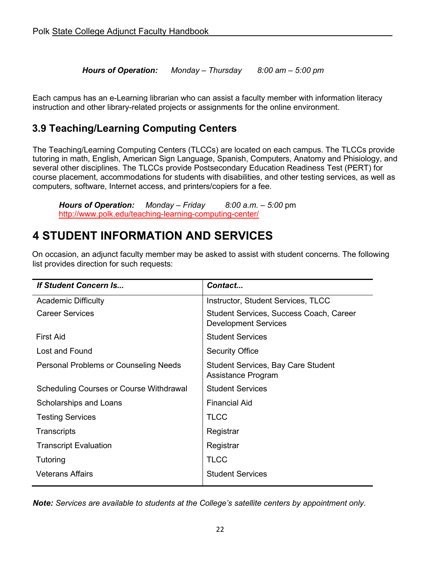*Hours of Operation: Monday – Thursday 8:00 am – 5:00 pm*

Each campus has an e-Learning librarian who can assist a faculty member with information literacy instruction and other library-related projects or assignments for the online environment.

# <span id="page-21-0"></span>**3.9 Teaching/Learning Computing Centers**

The [Teaching/Learning](http://www.polk.edu/teaching-learning-computing-center/) Computing Centers (TLCCs) are located on each campus. The TLCCs provide tutoring in math, English, American Sign Language, Spanish, Computers, Anatomy and Phisiology, and several other disciplines. The TLCCs provide Postsecondary Education Readiness Test (PERT) for course placement, accommodations for students with disabilities, and other testing services, as well as computers, software, Internet access, and printers/copiers for a fee.

*Hours of Operation: Monday – Friday 8:00 a.m. – 5:00* pm <http://www.polk.edu/teaching-learning-computing-center/>

# <span id="page-21-1"></span>**4 STUDENT INFORMATION AND SERVICES**

On occasion, an adjunct faculty member may be asked to assist with student concerns. The following list provides direction for such requests:

| <b>If Student Concern Is</b>                   | Contact                                                                |  |  |
|------------------------------------------------|------------------------------------------------------------------------|--|--|
| <b>Academic Difficulty</b>                     | <b>Instructor, Student Services, TLCC</b>                              |  |  |
| <b>Career Services</b>                         | Student Services, Success Coach, Career<br><b>Development Services</b> |  |  |
| <b>First Aid</b>                               | <b>Student Services</b>                                                |  |  |
| Lost and Found                                 | <b>Security Office</b>                                                 |  |  |
| Personal Problems or Counseling Needs          | <b>Student Services, Bay Care Student</b><br>Assistance Program        |  |  |
| <b>Scheduling Courses or Course Withdrawal</b> | <b>Student Services</b>                                                |  |  |
| Scholarships and Loans                         | <b>Financial Aid</b>                                                   |  |  |
| <b>Testing Services</b>                        | <b>TLCC</b>                                                            |  |  |
| Transcripts                                    | Registrar                                                              |  |  |
| <b>Transcript Evaluation</b>                   | Registrar                                                              |  |  |
| Tutoring                                       | <b>TLCC</b>                                                            |  |  |
| <b>Veterans Affairs</b>                        | <b>Student Services</b>                                                |  |  |

*Note: Services are available to students at the College's satellite centers by appointment only.*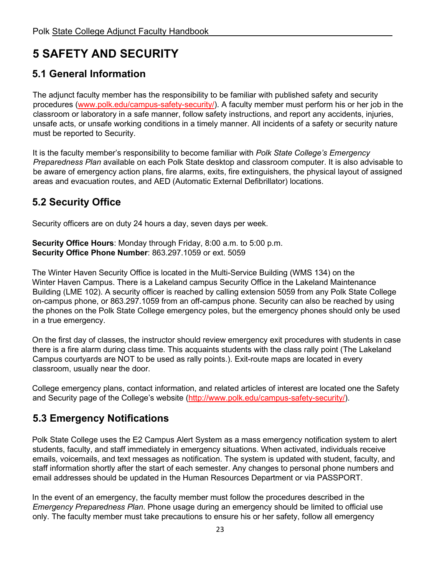# <span id="page-22-0"></span>**5 SAFETY AND SECURITY**

# <span id="page-22-1"></span>**5.1 General Information**

The adjunct faculty member has the responsibility to be familiar with published safety and security procedures [\(www.polk.edu/campus](http://www.polk.edu/campus)[-safety-security/\).](https://www.polk.edu/campus-safety-security/) A [faculty member must](https://www.polk.edu/campus-safety-security/) perform his or her job in the classroom or laboratory in a safe manner, follow safety instructions, and report any accidents, injuries, unsafe acts, or unsafe working conditions in a timely manner. All incidents of a safety or security nature must be reported to Security.

It is the faculty member's responsibility to become familiar with *Polk State College's Emergency Preparedness Plan* available on each Polk State desktop and classroom computer. It is also advisable to be aware of emergency action plans, fire alarms, exits, fire extinguishers, the physical layout of assigned areas and evacuation routes, and AED (Automatic External Defibrillator) locations.

# <span id="page-22-2"></span>**5.2 Security Office**

Security officers are on duty 24 hours a day, seven days per week.

**Security Office Hours**: Monday through Friday, 8:00 a.m. to 5:00 p.m. **Security Office Phone Number**: 863.297.1059 or ext. 5059

The Winter Haven Security Office is located in the Multi-Service Building (WMS 134) on the Winter Haven Campus. There is a Lakeland campus Security Office in the Lakeland Maintenance Building (LME 102). A security officer is reached by calling extension 5059 from any Polk State College on-campus phone, or 863.297.1059 from an off-campus phone. Security can also be reached by using the phones on the Polk State College emergency poles, but the emergency phones should only be used in a true emergency.

On the first day of classes, the instructor should review emergency exit procedures with students in case there is a fire alarm during class time. This acquaints students with the class rally point (The Lakeland Campus courtyards are NOT to be used as rally points.). Exit-route maps are located in every classroom, usually near the door.

College emergency plans, contact information, and related articles of interest are located one the Safety and Security page of the College's website [\(http://www.polk.edu/campus-safety-security/\)](http://www.polk.edu/campus-safety-security/).

# <span id="page-22-3"></span>**5.3 [Emergency Notifications](http://www.polk.edu/campus-safety-security/)**

[Polk State Coll](http://www.polk.edu/campus-safety-security/)ege uses the E2 Campus Alert System as a mass emergency notification system to alert students, faculty, and staff immediately in emergency situations. When activated, individuals receive emails, voicemails, and text messages as notification. The system is updated with student, faculty, and staff information shortly after the start of each semester. Any changes to personal phone numbers and email addresses should be updated in the Human Resources Department or via PASSPORT.

In the event of an emergency, the faculty member must follow the procedures described in the *Emergency Preparedness Plan*. Phone usage during an emergency should be limited to official use only. The faculty member must take precautions to ensure his or her safety, follow all emergency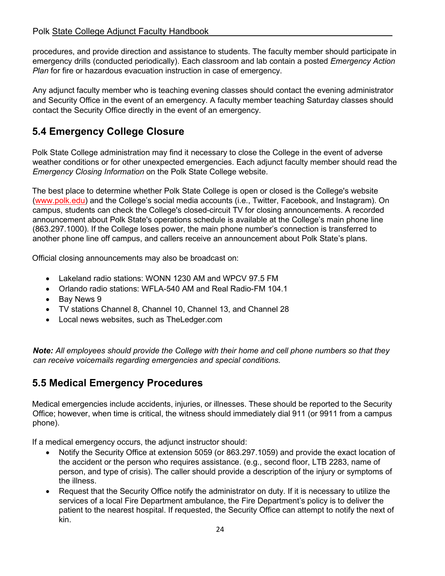procedures, and provide direction and assistance to students. The faculty member should participate in emergency drills (conducted periodically). Each classroom and lab contain a posted *Emergency Action Plan* for fire or hazardous evacuation instruction in case of emergency.

Any adjunct faculty member who is teaching evening classes should contact the evening administrator and Security Office in the event of an emergency. A faculty member teaching Saturday classes should contact the Security Office directly in the event of an emergency.

# <span id="page-23-0"></span>**5.4 Emergency College Closure**

Polk State College administration may find it necessary to close the College in the event of adverse weather conditions or for other unexpected emergencies. Each adjunct faculty member should read the *Emergency Closing Information* on the Polk State College website.

The best place to determine whether Polk State College is open or closed is the College's website [\(www.polk.edu\) a](http://www.polk.edu/)nd the College's social media accounts (i.e., Twitter, Facebook, and Instagram). On campus, students can check the College's closed-circuit TV for closing announcements. A recorded announcement about Polk State's operations schedule is available at the College's main phone line (863.297.1000). If the College loses power, the main phone number's connection is transferred to another phone line off campus, and callers receive an announcement about Polk State's plans.

Official closing announcements may also be broadcast on:

- Lakeland radio stations: WONN 1230 AM and WPCV 97.5 FM
- Orlando radio stations: WFLA-540 AM and Real Radio-FM 104.1
- Bay News 9
- TV stations Channel 8, Channel 10, Channel 13, and Channel 28
- Local news websites, such as TheLedger.com

*Note: All employees should provide the College with their home and cell phone numbers so that they can receive voicemails regarding emergencies and special conditions.* 

# <span id="page-23-1"></span>**5.5 Medical Emergency Procedures**

Medical emergencies include accidents, injuries, or illnesses. These should be reported to the Security Office; however, when time is critical, the witness should immediately dial 911 (or 9911 from a campus phone).

If a medical emergency occurs, the adjunct instructor should:

- Notify the Security Office at extension 5059 (or 863.297.1059) and provide the exact location of the accident or the person who requires assistance. (e.g., second floor, LTB 2283, name of person, and type of crisis). The caller should provide a description of the injury or symptoms of the illness.
- Request that the Security Office notify the administrator on duty. If it is necessary to utilize the services of a local Fire Department ambulance, the Fire Department's policy is to deliver the patient to the nearest hospital. If requested, the Security Office can attempt to notify the next of kin.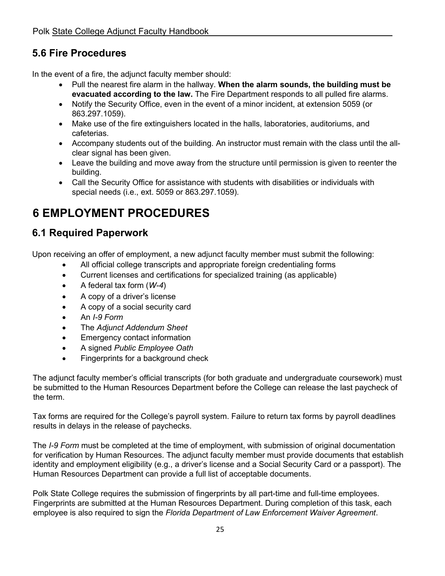# <span id="page-24-0"></span>**5.6 Fire Procedures**

In the event of a fire, the adjunct faculty member should:

- Pull the nearest fire alarm in the hallway. **When the alarm sounds, the building must be evacuated according to the law.** The Fire Department responds to all pulled fire alarms.
- Notify the Security Office, even in the event of a minor incident, at extension 5059 (or 863.297.1059).
- Make use of the fire extinguishers located in the halls, laboratories, auditoriums, and cafeterias.
- Accompany students out of the building. An instructor must remain with the class until the allclear signal has been given.
- Leave the building and move away from the structure until permission is given to reenter the building.
- Call the Security Office for assistance with students with disabilities or individuals with special needs (i.e., ext. 5059 or 863.297.1059).

# <span id="page-24-1"></span>**6 EMPLOYMENT PROCEDURES**

# <span id="page-24-2"></span>**6.1 Required Paperwork**

Upon receiving an offer of employment, a new adjunct faculty member must submit the following:

- All official college transcripts and appropriate foreign credentialing forms
- Current licenses and certifications for specialized training (as applicable)
- A federal tax form (*W-4*)
- A copy of a driver's license
- A copy of a social security card
- An *I-9 Form*
- The *Adjunct Addendum Sheet*
- Emergency contact information
- A signed *Public Employee Oath*
- Fingerprints for a background check

The adjunct faculty member's official transcripts (for both graduate and undergraduate coursework) must be submitted to the Human Resources Department before the College can release the last paycheck of the term.

Tax forms are required for the College's payroll system. Failure to return tax forms by payroll deadlines results in delays in the release of paychecks.

The *I-9 Form* must be completed at the time of employment, with submission of original documentation for verification by Human Resources. The adjunct faculty member must provide documents that establish identity and employment eligibility (e.g., a driver's license and a Social Security Card or a passport). The Human Resources Department can provide a full list of acceptable documents.

Polk State College requires the submission of fingerprints by all part-time and full-time employees. Fingerprints are submitted at the Human Resources Department. During completion of this task, each employee is also required to sign the *Florida Department of Law Enforcement Waiver Agreement*.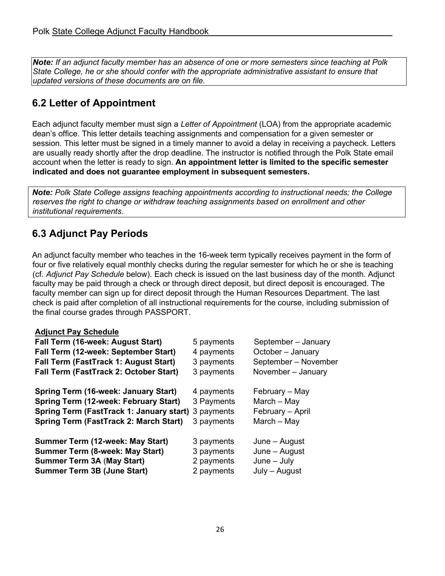*Note: If an adjunct faculty member has an absence of one or more semesters since teaching at Polk State College, he or she should confer with the appropriate administrative assistant to ensure that updated versions of these documents are on file.* 

# <span id="page-25-0"></span>**6.2 Letter of Appointment**

Each adjunct faculty member must sign a *Letter of Appointment* (LOA) from the appropriate academic dean's office. This letter details teaching assignments and compensation for a given semester or session. This letter must be signed in a timely manner to avoid a delay in receiving a paycheck. Letters are usually ready shortly after the drop deadline. The instructor is notified through the Polk State email account when the letter is ready to sign. **An appointment letter is limited to the specific semester indicated and does not guarantee employment in subsequent semesters.** 

*Note: Polk State College assigns teaching appointments according to instructional needs; the College reserves the right to change or withdraw teaching assignments based on enrollment and other institutional requirements.* 

# <span id="page-25-1"></span>**6.3 Adjunct Pay Periods**

An adjunct faculty member who teaches in the 16-week term typically receives payment in the form of four or five relatively equal monthly checks during the regular semester for which he or she is teaching (cf. *Adjunct Pay Schedule* below). Each check is issued on the last business day of the month. Adjunct faculty may be paid through a check or through direct deposit, but direct deposit is encouraged. The faculty member can sign up for direct deposit through the Human Resources Department. The last check is paid after completion of all instructional requirements for the course, including submission of the final course grades through PASSPORT.

#### **Adjunct Pay Schedule**

| Fall Term (16-week: August Start)                                                                                                                                                     | 5 payments                             | September - January                                                |
|---------------------------------------------------------------------------------------------------------------------------------------------------------------------------------------|----------------------------------------|--------------------------------------------------------------------|
| Fall Term (12-week: September Start)                                                                                                                                                  | 4 payments                             | October - January                                                  |
| Fall Term (FastTrack 1: August Start)                                                                                                                                                 | 3 payments                             | September - November                                               |
| Fall Term (FastTrack 2: October Start)                                                                                                                                                | 3 payments                             | November - January                                                 |
| Spring Term (16-week: January Start)<br>Spring Term (12-week: February Start)<br>Spring Term (FastTrack 1: January start) 3 payments<br><b>Spring Term (FastTrack 2: March Start)</b> | 4 payments<br>3 Payments<br>3 payments | February – May<br>$March - May$<br>February - April<br>March - May |
| Summer Term (12-week: May Start)                                                                                                                                                      | 3 payments                             | June – August                                                      |
| Summer Term (8-week: May Start)                                                                                                                                                       | 3 payments                             | June – August                                                      |
| <b>Summer Term 3A (May Start)</b>                                                                                                                                                     | 2 payments                             | $June - July$                                                      |
| <b>Summer Term 3B (June Start)</b>                                                                                                                                                    | 2 payments                             | July - August                                                      |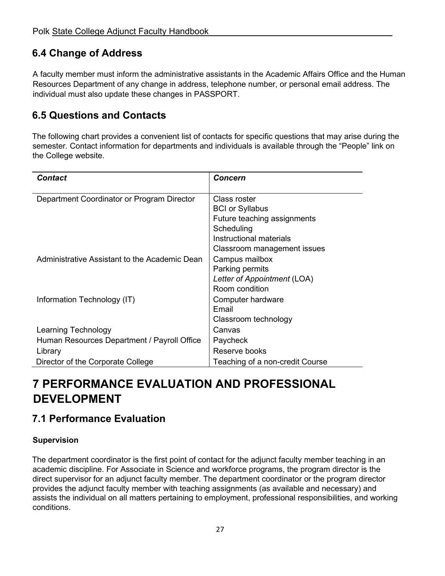# <span id="page-26-0"></span>**6.4 Change of Address**

A faculty member must inform the administrative assistants in the Academic Affairs Office and the Human Resources Department of any change in address, telephone number, or personal email address. The individual must also update these changes in PASSPORT.

# <span id="page-26-1"></span>**6.5 Questions and Contacts**

The following chart provides a convenient list of contacts for specific questions that may arise during the semester. Contact information for departments and individuals is available through the "People" link on the College website.

| <b>Contact</b>                                | <b>Concern</b>                  |
|-----------------------------------------------|---------------------------------|
|                                               |                                 |
| Department Coordinator or Program Director    | Class roster                    |
|                                               | <b>BCI or Syllabus</b>          |
|                                               | Future teaching assignments     |
|                                               | Scheduling                      |
|                                               | Instructional materials         |
|                                               | Classroom management issues     |
| Administrative Assistant to the Academic Dean | Campus mailbox                  |
|                                               | Parking permits                 |
|                                               | Letter of Appointment (LOA)     |
|                                               | Room condition                  |
| Information Technology (IT)                   | Computer hardware               |
|                                               | Email                           |
|                                               | Classroom technology            |
| Learning Technology                           | Canvas                          |
| Human Resources Department / Payroll Office   | Paycheck                        |
| Library                                       | Reserve books                   |
| Director of the Corporate College             | Teaching of a non-credit Course |

# <span id="page-26-2"></span>**7 PERFORMANCE EVALUATION AND PROFESSIONAL DEVELOPMENT**

# <span id="page-26-3"></span>**7.1 Performance Evaluation**

#### **Supervision**

The department coordinator is the first point of contact for the adjunct faculty member teaching in an academic discipline. For Associate in Science and workforce programs, the program director is the direct supervisor for an adjunct faculty member. The department coordinator or the program director provides the adjunct faculty member with teaching assignments (as available and necessary) and assists the individual on all matters pertaining to employment, professional responsibilities, and working conditions.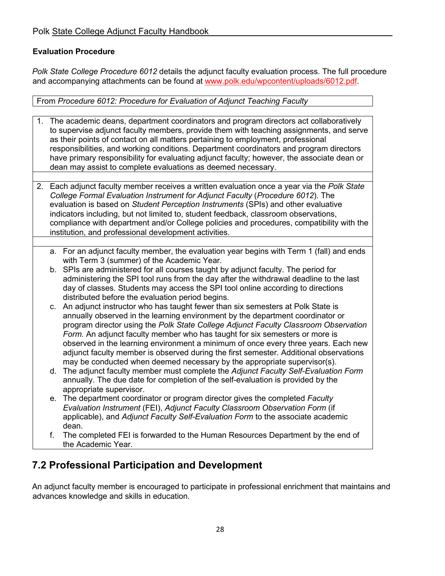#### **Evaluation Procedure**

*Polk State College Procedure 6012* details the adjunct faculty evaluation process. The full procedure and accompanying attachments can be found a[t](https://www.polk.edu/wp-content/uploads/6012.pdf) [www.polk.edu/wpcontent/uploads/6012.pdf.](https://www.polk.edu/wp-content/uploads/6012.pdf) 

From *Procedure 6012: Procedure for Evaluation of Adjunct Teaching Faculty*

- 1. The academic deans, department coordinators and program directors act collaboratively to supervise adjunct faculty members, provide them with teaching assignments, and serve as their points of contact on all matters pertaining to employment, professional responsibilities, and working conditions. Department coordinators and program directors have primary responsibility for evaluating adjunct faculty; however, the associate dean or dean may assist to complete evaluations as deemed necessary.
- 2. Each adjunct faculty member receives a written evaluation once a year via the *Polk State College Formal Evaluation Instrument for Adjunct Faculty* (*Procedure 6012*). The evaluation is based on *Student Perception Instruments* (SPIs) and other evaluative indicators including, but not limited to, student feedback, classroom observations, compliance with department and/or College policies and procedures, compatibility with the institution, and professional development activities.
	- a. For an adjunct faculty member, the evaluation year begins with Term 1 (fall) and ends with Term 3 (summer) of the Academic Year.
	- b. SPIs are administered for all courses taught by adjunct faculty. The period for administering the SPI tool runs from the day after the withdrawal deadline to the last day of classes. Students may access the SPI tool online according to directions distributed before the evaluation period begins.
	- c. An adjunct instructor who has taught fewer than six semesters at Polk State is annually observed in the learning environment by the department coordinator or program director using the *Polk State College Adjunct Faculty Classroom Observation Form.* An adjunct faculty member who has taught for six semesters or more is observed in the learning environment a minimum of once every three years. Each new adjunct faculty member is observed during the first semester. Additional observations may be conducted when deemed necessary by the appropriate supervisor(s).
	- d. The adjunct faculty member must complete the *Adjunct Faculty Self-Evaluation Form* annually. The due date for completion of the self-evaluation is provided by the appropriate supervisor.
	- e. The department coordinator or program director gives the completed *Faculty Evaluation Instrument* (FEI), *Adjunct Faculty Classroom Observation Form* (if applicable), and *Adjunct Faculty Self-Evaluation Form* to the associate academic dean.
	- f. The completed FEI is forwarded to the Human Resources Department by the end of the Academic Year.

# <span id="page-27-0"></span>**7.2 Professional Participation and Development**

An adjunct faculty member is encouraged to participate in professional enrichment that maintains and advances knowledge and skills in education.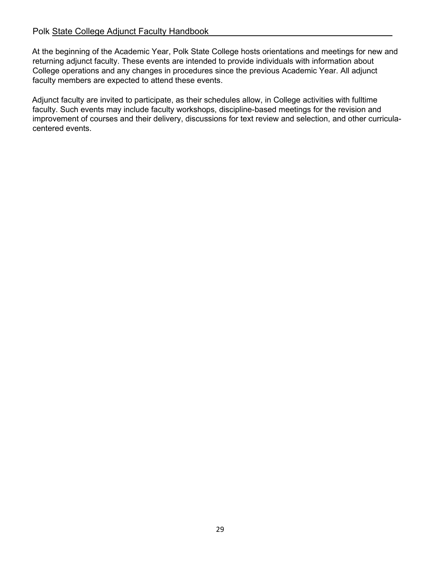#### Polk State College Adjunct Faculty Handbook

At the beginning of the Academic Year, Polk State College hosts orientations and meetings for new and returning adjunct faculty. These events are intended to provide individuals with information about College operations and any changes in procedures since the previous Academic Year. All adjunct faculty members are expected to attend these events.

Adjunct faculty are invited to participate, as their schedules allow, in College activities with fulltime faculty. Such events may include faculty workshops, discipline-based meetings for the revision and improvement of courses and their delivery, discussions for text review and selection, and other curriculacentered events.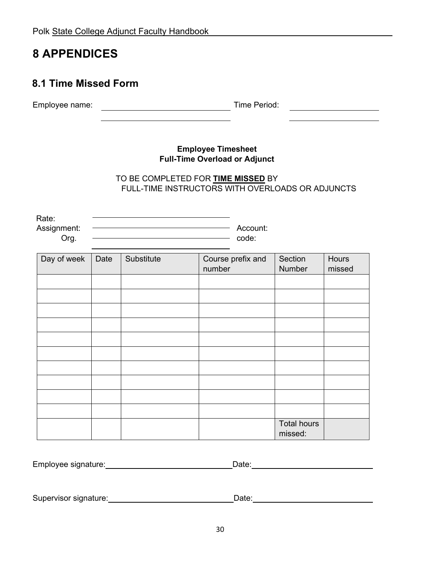# <span id="page-29-0"></span>**8 APPENDICES**

# <span id="page-29-1"></span>**8.1 Time Missed Form**

Employee name:Time Period: <u> 1990 - Johann Barbara, martin a</u>

#### **Employee Timesheet Full-Time Overload or Adjunct**

#### TO BE COMPLETED FOR **TIME MISSED** BY FULL-TIME INSTRUCTORS WITH OVERLOADS OR ADJUNCTS

Rate:

**Org.** code:

Assignment:Account:

| Day of week | Date | Substitute | Course prefix and<br>number | Section<br>Number             | Hours<br>missed |
|-------------|------|------------|-----------------------------|-------------------------------|-----------------|
|             |      |            |                             |                               |                 |
|             |      |            |                             |                               |                 |
|             |      |            |                             |                               |                 |
|             |      |            |                             |                               |                 |
|             |      |            |                             |                               |                 |
|             |      |            |                             |                               |                 |
|             |      |            |                             |                               |                 |
|             |      |            |                             |                               |                 |
|             |      |            |                             |                               |                 |
|             |      |            |                             |                               |                 |
|             |      |            |                             | <b>Total hours</b><br>missed: |                 |

| Employee signature: | ่ ⊃ate: |
|---------------------|---------|
|                     |         |

Supervisor signature:\_\_\_\_\_\_\_\_\_\_\_\_\_\_\_\_\_\_\_\_\_\_\_\_\_\_\_\_\_\_\_\_\_\_Date:\_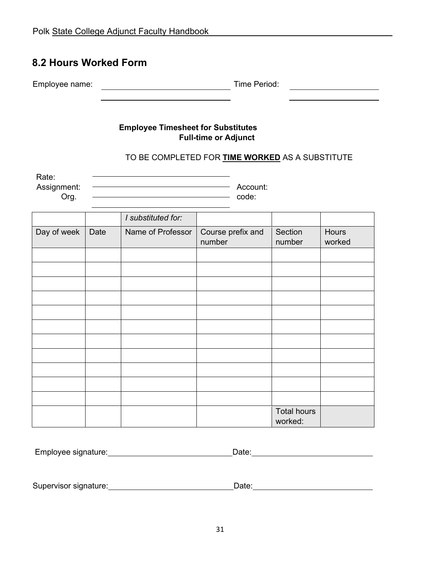## <span id="page-30-0"></span>**8.2 Hours Worked Form**

| $\overline{\phantom{0}}$<br>Employee name: | <b>Ime</b><br>eriod |  |
|--------------------------------------------|---------------------|--|
|                                            |                     |  |

#### **Employee Timesheet for Substitutes Full-time or Adjunct**

### TO BE COMPLETED FOR **TIME WORKED** AS A SUBSTITUTE

| Rate:       |          |
|-------------|----------|
| Assignment: | Account: |
| Org.        | code:    |
|             |          |

|             |      | I substituted for: |                             |                               |                 |
|-------------|------|--------------------|-----------------------------|-------------------------------|-----------------|
| Day of week | Date | Name of Professor  | Course prefix and<br>number | Section<br>number             | Hours<br>worked |
|             |      |                    |                             |                               |                 |
|             |      |                    |                             |                               |                 |
|             |      |                    |                             |                               |                 |
|             |      |                    |                             |                               |                 |
|             |      |                    |                             |                               |                 |
|             |      |                    |                             |                               |                 |
|             |      |                    |                             |                               |                 |
|             |      |                    |                             |                               |                 |
|             |      |                    |                             |                               |                 |
|             |      |                    |                             |                               |                 |
|             |      |                    |                             |                               |                 |
|             |      |                    |                             | <b>Total hours</b><br>worked: |                 |

| Employee signature: | Date: |  |
|---------------------|-------|--|
|                     |       |  |

Supervisor signature: Date: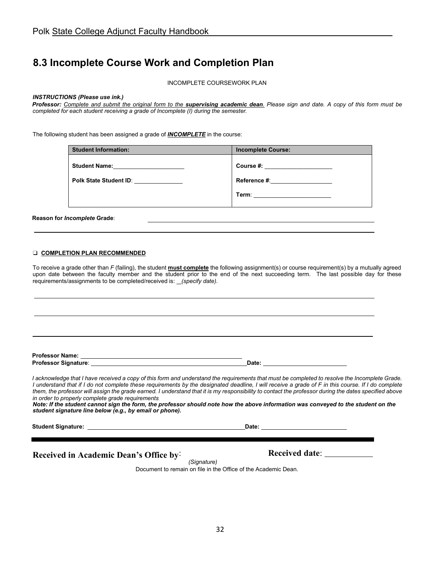# <span id="page-31-0"></span>**8.3 Incomplete Course Work and Completion Plan**

INCOMPLETE COURSEWORK PLAN

#### *INSTRUCTIONS (Please use ink.)*

*Professor: Complete and submit the original form to the supervising academic dean. Please sign and date. A copy of this form must be completed for each student receiving a grade of Incomplete (I) during the semester.* 

The following student has been assigned a grade of *INCOMPLETE* in the course:

| <b>Student Information:</b> | <b>Incomplete Course:</b>                                                                                                                                                                                                      |
|-----------------------------|--------------------------------------------------------------------------------------------------------------------------------------------------------------------------------------------------------------------------------|
| <b>Student Name:</b>        | Course #: the course of the course of the course of the course of the course of the course of the course of the course of the course of the course of the course of the course of the course of the course of the course of th |
| Polk State Student ID:      | Reference #: <u>__________</u>                                                                                                                                                                                                 |
|                             | Term: ________________________                                                                                                                                                                                                 |

**Reason for** *Incomplete* **Grade**:

#### ❑ **COMPLETION PLAN RECOMMENDED**

To receive a grade other than *F* (failing), the student **must complete** the following assignment(s) or course requirement(s) by a mutually agreed upon date between the faculty member and the student prior to the end of the next succeeding term. The last possible day for these requirements/assignments to be completed/received is: *(specify date).*

| Professor Name:      |       |
|----------------------|-------|
| Professor Signature: | Date: |

*I acknowledge that I have received a copy of this form and understand the requirements that must be completed to resolve the Incomplete Grade. I understand that if I do not complete these requirements by the designated deadline, I will receive a grade of F in this course. If I do complete* them, the professor will assign the grade earned. I understand that it is my responsibility to contact the professor during the dates specified above *in order to properly complete grade requirements*.

*Note: If the student cannot sign the form, the professor should note how the above information was conveyed to the student on the student signature line below (e.g., by email or phone).*

**Student Signature: Date:** 

**Received in Academic Dean's Office by: Received date:** \_\_\_\_\_\_\_\_\_\_\_\_\_\_\_\_\_\_\_\_\_\_\_\_

*(Signature)* 

Document to remain on file in the Office of the Academic Dean.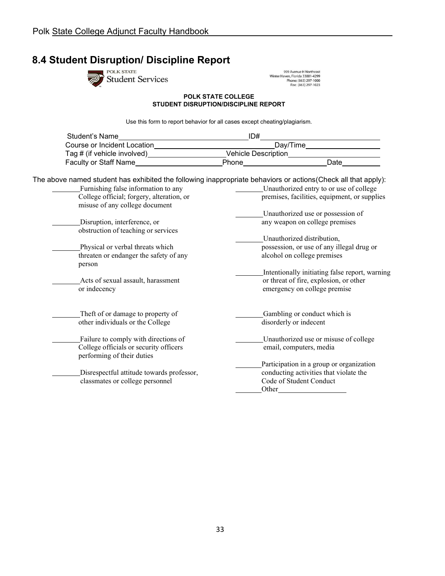# <span id="page-32-0"></span>**8.4 Student Disruption/ Discipline Report**<br> **Exercise**<br>
Student Services



999 Avenue H Northeast<br>Winter Haven, Florida 33881-4299<br>Phone: (863) 297-1000<br>Fax: (863) 297-1023

#### **POLK STATE COLLEGE STUDENT DISRUPTION/DISCIPLINE REPORT**

Use this form to report behavior for all cases except cheating/plagiarism.

| Student's Name                                     | ID#                                                                                                                                                                                                                                |
|----------------------------------------------------|------------------------------------------------------------------------------------------------------------------------------------------------------------------------------------------------------------------------------------|
|                                                    | _Day/Time_____________________                                                                                                                                                                                                     |
| Tag # (if vehicle involved)_______________________ |                                                                                                                                                                                                                                    |
| Faculty or Staff Name                              | <b>Phone Contract Contract Contract Contract Contract Contract Contract Contract Contract Contract Contract Contract Contract Contract Contract Contract Contract Contract Contract Contract Contract Contract Contract Contra</b> |
|                                                    |                                                                                                                                                                                                                                    |
| Furnishing false information to any                | The above named student has exhibited the following inappropriate behaviors or actions(Check all that apply):<br>Unauthorized entry to or use of college                                                                           |
| College official; forgery, alteration, or          | premises, facilities, equipment, or supplies                                                                                                                                                                                       |
| misuse of any college document                     |                                                                                                                                                                                                                                    |
|                                                    | Unauthorized use or possession of                                                                                                                                                                                                  |
| Disruption, interference, or                       | any weapon on college premises                                                                                                                                                                                                     |
| obstruction of teaching or services                |                                                                                                                                                                                                                                    |
|                                                    | Unauthorized distribution,                                                                                                                                                                                                         |
| Physical or verbal threats which                   | possession, or use of any illegal drug or                                                                                                                                                                                          |
| threaten or endanger the safety of any             | alcohol on college premises                                                                                                                                                                                                        |
| person                                             |                                                                                                                                                                                                                                    |
|                                                    | Intentionally initiating false report, warning                                                                                                                                                                                     |
| Acts of sexual assault, harassment                 | or threat of fire, explosion, or other                                                                                                                                                                                             |
| or indecency                                       | emergency on college premise                                                                                                                                                                                                       |
| Theft of or damage to property of                  | Gambling or conduct which is                                                                                                                                                                                                       |
| other individuals or the College                   | disorderly or indecent                                                                                                                                                                                                             |
|                                                    |                                                                                                                                                                                                                                    |
| Failure to comply with directions of               | Unauthorized use or misuse of college                                                                                                                                                                                              |
| College officials or security officers             | email, computers, media                                                                                                                                                                                                            |
| performing of their duties                         |                                                                                                                                                                                                                                    |
|                                                    | Participation in a group or organization                                                                                                                                                                                           |
| Disrespectful attitude towards professor,          | conducting activities that violate the                                                                                                                                                                                             |
| classmates or college personnel                    | Code of Student Conduct                                                                                                                                                                                                            |
|                                                    | Other                                                                                                                                                                                                                              |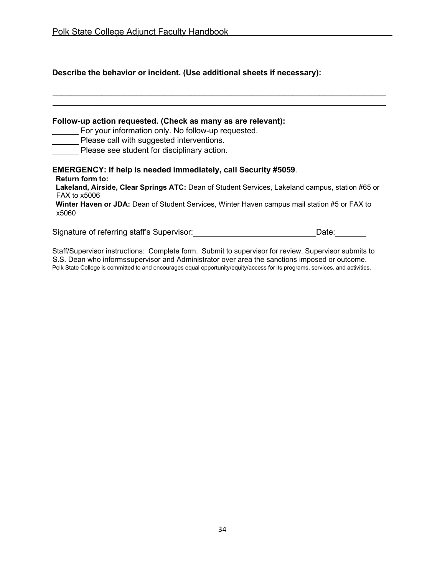|  | Describe the behavior or incident. (Use additional sheets if necessary): |
|--|--------------------------------------------------------------------------|
|--|--------------------------------------------------------------------------|

| Follow-up action requested. (Check as many as are relevant):<br>For your information only. No follow-up requested.<br>Please call with suggested interventions.<br>Please see student for disciplinary action.                                                                                                              |
|-----------------------------------------------------------------------------------------------------------------------------------------------------------------------------------------------------------------------------------------------------------------------------------------------------------------------------|
| <b>EMERGENCY: If help is needed immediately, call Security #5059.</b><br><b>Return form to:</b><br>Lakeland, Airside, Clear Springs ATC: Dean of Student Services, Lakeland campus, station #65 or<br>FAX to x5006<br>Winter Haven or JDA: Dean of Student Services, Winter Haven campus mail station #5 or FAX to<br>x5060 |
| Signature of referring staff's Supervisor:<br>Date:                                                                                                                                                                                                                                                                         |

Staff/Supervisor instructions: Complete form. Submit to supervisor for review. Supervisor submits to S.S. Dean who informssupervisor and Administrator over area the sanctions imposed or outcome. Polk State College is committed to and encourages equal opportunity/equity/access for its programs, services, and activities.